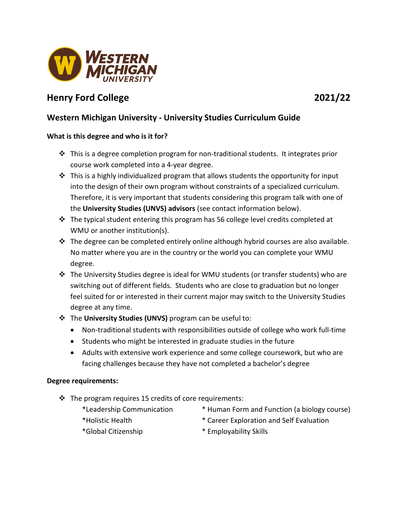

# **Henry Ford College 2021/22**

## **Western Michigan University - University Studies Curriculum Guide**

### **What is this degree and who is it for?**

- $\cdot$  This is a degree completion program for non-traditional students. It integrates prior course work completed into a 4-year degree.
- $\cdot \cdot$  This is a highly individualized program that allows students the opportunity for input into the design of their own program without constraints of a specialized curriculum. Therefore, it is very important that students considering this program talk with one of the **University Studies (UNVS) advisors** (see contact information below).
- $\div$  The typical student entering this program has 56 college level credits completed at WMU or another institution(s).
- $\div$  The degree can be completed entirely online although hybrid courses are also available. No matter where you are in the country or the world you can complete your WMU degree.
- The University Studies degree is ideal for WMU students (or transfer students) who are switching out of different fields. Students who are close to graduation but no longer feel suited for or interested in their current major may switch to the University Studies degree at any time.
- The **University Studies (UNVS)** program can be useful to:
	- Non-traditional students with responsibilities outside of college who work full-time
	- Students who might be interested in graduate studies in the future
	- Adults with extensive work experience and some college coursework, but who are facing challenges because they have not completed a bachelor's degree

#### **Degree requirements:**

- $\cdot$  The program requires 15 credits of core requirements:
	- \*Leadership Communication \* Human Form and Function (a biology course)
		-
- 
- 
- \*Holistic Health \* Career Exploration and Self Evaluation
- \*Global Citizenship \* Employability Skills